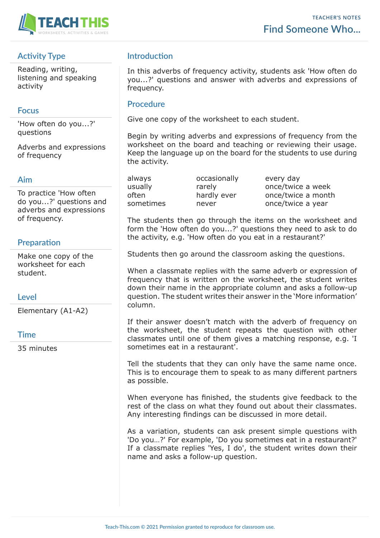

# **Activity Type**

Reading, writing, listening and speaking activity

### **Focus**

'How often do you...?' questions

Adverbs and expressions of frequency

#### **Aim**

To practice 'How often do you...?' questions and adverbs and expressions of frequency.

### **Preparation**

Make one copy of the worksheet for each student.

### **Level**

Elementary (A1-A2)

#### **Time**

35 minutes

# **Introduction**

In this adverbs of frequency activity, students ask 'How often do you...?' questions and answer with adverbs and expressions of frequency.

#### **Procedure**

Give one copy of the worksheet to each student.

Begin by writing adverbs and expressions of frequency from the worksheet on the board and teaching or reviewing their usage. Keep the language up on the board for the students to use during the activity.

always occasionally every day

usually rarely conce/twice a week often hardly ever once/twice a month sometimes never once/twice a year

The students then go through the items on the worksheet and form the 'How often do you...?' questions they need to ask to do the activity, e.g. 'How often do you eat in a restaurant?'

Students then go around the classroom asking the questions.

When a classmate replies with the same adverb or expression of frequency that is written on the worksheet, the student writes down their name in the appropriate column and asks a follow-up question. The student writes their answer in the 'More information' column.

If their answer doesn't match with the adverb of frequency on the worksheet, the student repeats the question with other classmates until one of them gives a matching response, e.g. 'I sometimes eat in a restaurant'.

Tell the students that they can only have the same name once. This is to encourage them to speak to as many different partners as possible.

When everyone has finished, the students give feedback to the rest of the class on what they found out about their classmates. Any interesting findings can be discussed in more detail.

As a variation, students can ask present simple questions with 'Do you…?' For example, 'Do you sometimes eat in a restaurant?' If a classmate replies 'Yes, I do', the student writes down their name and asks a follow-up question.